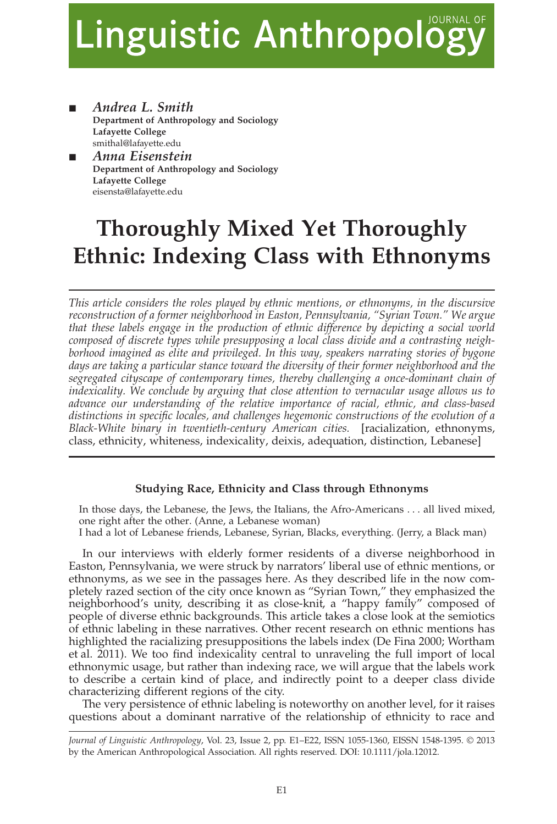# Linguistic Anthropology

- *Andrea L. Smith* **Department of Anthropology and Sociology Lafayette College** [smithal@lafayette.edu](mailto:smithal@lafayette.edu)
- *Anna Eisenstein* **Department of Anthropology and Sociology Lafayette College** [eisensta@lafayette.edu](mailto:eisensta@lafayette.edu)

# **Thoroughly Mixed Yet Thoroughly Ethnic: Indexing Class with Ethnonyms**

*This article considers the roles played by ethnic mentions, or ethnonyms, in the discursive reconstruction of a former neighborhood in Easton, Pennsylvania, "Syrian Town." We argue that these labels engage in the production of ethnic difference by depicting a social world composed of discrete types while presupposing a local class divide and a contrasting neighborhood imagined as elite and privileged. In this way, speakers narrating stories of bygone days are taking a particular stance toward the diversity of their former neighborhood and the segregated cityscape of contemporary times, thereby challenging a once-dominant chain of indexicality. We conclude by arguing that close attention to vernacular usage allows us to advance our understanding of the relative importance of racial, ethnic, and class-based distinctions in specific locales, and challenges hegemonic constructions of the evolution of a Black-White binary in twentieth-century American cities.* [racialization, ethnonyms, class, ethnicity, whiteness, indexicality, deixis, adequation, distinction, Lebanese]

# **Studying Race, Ethnicity and Class through Ethnonyms**

In those days, the Lebanese, the Jews, the Italians, the Afro-Americans . . . all lived mixed, one right after the other. (Anne, a Lebanese woman) I had a lot of Lebanese friends, Lebanese, Syrian, Blacks, everything. (Jerry, a Black man)

In our interviews with elderly former residents of a diverse neighborhood in Easton, Pennsylvania, we were struck by narrators' liberal use of ethnic mentions, or ethnonyms, as we see in the passages here. As they described life in the now completely razed section of the city once known as "Syrian Town," they emphasized the neighborhood's unity, describing it as close-knit, a "happy family" composed of people of diverse ethnic backgrounds. This article takes a close look at the semiotics of ethnic labeling in these narratives. Other recent research on ethnic mentions has highlighted the racializing presuppositions the labels index (De Fina 2000; Wortham et al. 2011). We too find indexicality central to unraveling the full import of local ethnonymic usage, but rather than indexing race, we will argue that the labels work to describe a certain kind of place, and indirectly point to a deeper class divide characterizing different regions of the city.

The very persistence of ethnic labeling is noteworthy on another level, for it raises questions about a dominant narrative of the relationship of ethnicity to race and

*Journal of Linguistic Anthropology*, Vol. 23, Issue 2, pp. E1–E22, ISSN 1055-1360, EISSN 1548-1395. © 2013 by the American Anthropological Association. All rights reserved. DOI: 10.1111/jola.12012.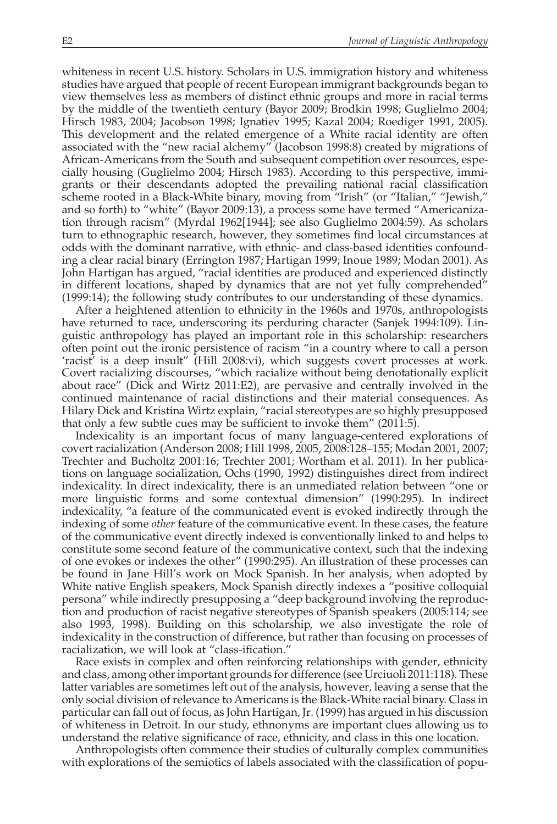whiteness in recent U.S. history. Scholars in U.S. immigration history and whiteness studies have argued that people of recent European immigrant backgrounds began to view themselves less as members of distinct ethnic groups and more in racial terms by the middle of the twentieth century (Bayor 2009; Brodkin 1998; Guglielmo 2004; Hirsch 1983, 2004; Jacobson 1998; Ignatiev 1995; Kazal 2004; Roediger 1991, 2005). This development and the related emergence of a White racial identity are often associated with the "new racial alchemy" (Jacobson 1998:8) created by migrations of African-Americans from the South and subsequent competition over resources, especially housing (Guglielmo 2004; Hirsch 1983). According to this perspective, immigrants or their descendants adopted the prevailing national racial classification scheme rooted in a Black-White binary, moving from "Irish" (or "Italian," "Jewish," and so forth) to "white" (Bayor 2009:13), a process some have termed "Americanization through racism" (Myrdal 1962[1944]; see also Guglielmo 2004:59). As scholars turn to ethnographic research, however, they sometimes find local circumstances at odds with the dominant narrative, with ethnic- and class-based identities confounding a clear racial binary (Errington 1987; Hartigan 1999; Inoue 1989; Modan 2001). As John Hartigan has argued, "racial identities are produced and experienced distinctly in different locations, shaped by dynamics that are not yet fully comprehended" (1999:14); the following study contributes to our understanding of these dynamics.

After a heightened attention to ethnicity in the 1960s and 1970s, anthropologists have returned to race, underscoring its perduring character (Sanjek 1994:109). Linguistic anthropology has played an important role in this scholarship: researchers often point out the ironic persistence of racism "in a country where to call a person 'racist<sup>7</sup> is a deep insult" (Hill 2008:vi), which suggests covert processes at work. Covert racializing discourses, "which racialize without being denotationally explicit about race" (Dick and Wirtz 2011:E2), are pervasive and centrally involved in the continued maintenance of racial distinctions and their material consequences. As Hilary Dick and Kristina Wirtz explain, "racial stereotypes are so highly presupposed that only a few subtle cues may be sufficient to invoke them" (2011:5).

Indexicality is an important focus of many language-centered explorations of covert racialization (Anderson 2008; Hill 1998, 2005, 2008:128–155; Modan 2001, 2007; Trechter and Bucholtz 2001:16; Trechter 2001; Wortham et al. 2011). In her publications on language socialization, Ochs (1990, 1992) distinguishes direct from indirect indexicality. In direct indexicality, there is an unmediated relation between "one or more linguistic forms and some contextual dimension" (1990:295). In indirect indexicality, "a feature of the communicated event is evoked indirectly through the indexing of some *other* feature of the communicative event. In these cases, the feature of the communicative event directly indexed is conventionally linked to and helps to constitute some second feature of the communicative context, such that the indexing of one evokes or indexes the other" (1990:295). An illustration of these processes can be found in Jane Hill's work on Mock Spanish. In her analysis, when adopted by White native English speakers, Mock Spanish directly indexes a "positive colloquial persona" while indirectly presupposing a "deep background involving the reproduction and production of racist negative stereotypes of Spanish speakers (2005:114; see also 1993, 1998). Building on this scholarship, we also investigate the role of indexicality in the construction of difference, but rather than focusing on processes of racialization, we will look at "class-ification."

Race exists in complex and often reinforcing relationships with gender, ethnicity and class, among other important grounds for difference (see Urciuoli 2011:118). These latter variables are sometimes left out of the analysis, however, leaving a sense that the only social division of relevance to Americans is the Black-White racial binary. Class in particular can fall out of focus, as John Hartigan, Jr. (1999) has argued in his discussion of whiteness in Detroit. In our study, ethnonyms are important clues allowing us to understand the relative significance of race, ethnicity, and class in this one location.

Anthropologists often commence their studies of culturally complex communities with explorations of the semiotics of labels associated with the classification of popu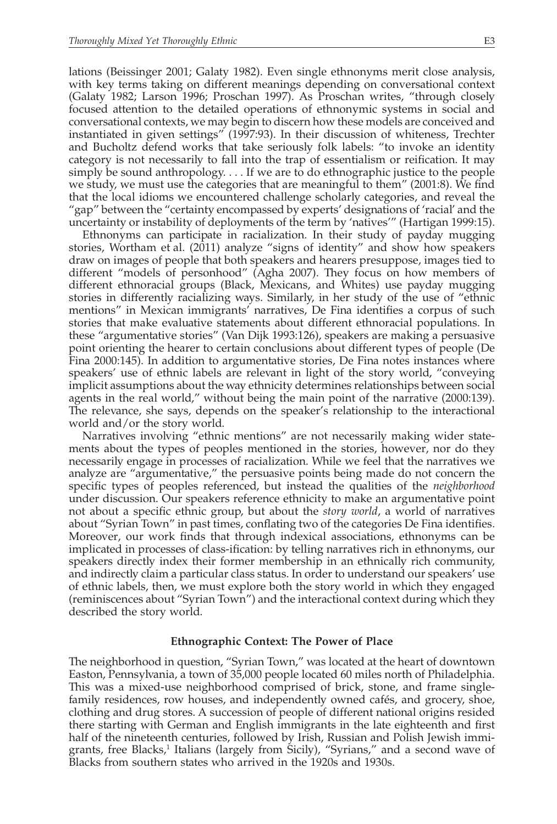lations (Beissinger 2001; Galaty 1982). Even single ethnonyms merit close analysis, with key terms taking on different meanings depending on conversational context (Galaty 1982; Larson 1996; Proschan 1997). As Proschan writes, "through closely focused attention to the detailed operations of ethnonymic systems in social and conversational contexts, we may begin to discern how these models are conceived and instantiated in given settings" (1997:93). In their discussion of whiteness, Trechter and Bucholtz defend works that take seriously folk labels: "to invoke an identity category is not necessarily to fall into the trap of essentialism or reification. It may simply be sound anthropology. . . . If we are to do ethnographic justice to the people we study, we must use the categories that are meaningful to them" (2001:8). We find that the local idioms we encountered challenge scholarly categories, and reveal the "gap" between the "certainty encompassed by experts' designations of 'racial' and the uncertainty or instability of deployments of the term by 'natives'" (Hartigan 1999:15).

Ethnonyms can participate in racialization. In their study of payday mugging stories, Wortham et al. (2011) analyze "signs of identity" and show how speakers draw on images of people that both speakers and hearers presuppose, images tied to different "models of personhood" (Agha 2007). They focus on how members of different ethnoracial groups (Black, Mexicans, and Whites) use payday mugging stories in differently racializing ways. Similarly, in her study of the use of "ethnic mentions" in Mexican immigrants' narratives, De Fina identifies a corpus of such stories that make evaluative statements about different ethnoracial populations. In these "argumentative stories" (Van Dijk 1993:126), speakers are making a persuasive point orienting the hearer to certain conclusions about different types of people (De Fina 2000:145). In addition to argumentative stories, De Fina notes instances where speakers' use of ethnic labels are relevant in light of the story world, "conveying implicit assumptions about the way ethnicity determines relationships between social agents in the real world," without being the main point of the narrative (2000:139). The relevance, she says, depends on the speaker's relationship to the interactional world and/or the story world.

Narratives involving "ethnic mentions" are not necessarily making wider statements about the types of peoples mentioned in the stories, however, nor do they necessarily engage in processes of racialization. While we feel that the narratives we analyze are "argumentative," the persuasive points being made do not concern the specific types of peoples referenced, but instead the qualities of the *neighborhood* under discussion. Our speakers reference ethnicity to make an argumentative point not about a specific ethnic group, but about the *story world*, a world of narratives about "Syrian Town" in past times, conflating two of the categories De Fina identifies. Moreover, our work finds that through indexical associations, ethnonyms can be implicated in processes of class-ification: by telling narratives rich in ethnonyms, our speakers directly index their former membership in an ethnically rich community, and indirectly claim a particular class status. In order to understand our speakers' use of ethnic labels, then, we must explore both the story world in which they engaged (reminiscences about "Syrian Town") and the interactional context during which they described the story world.

# **Ethnographic Context: The Power of Place**

The neighborhood in question, "Syrian Town," was located at the heart of downtown Easton, Pennsylvania, a town of 35,000 people located 60 miles north of Philadelphia. This was a mixed-use neighborhood comprised of brick, stone, and frame singlefamily residences, row houses, and independently owned cafés, and grocery, shoe, clothing and drug stores. A succession of people of different national origins resided there starting with German and English immigrants in the late eighteenth and first half of the nineteenth centuries, followed by Irish, Russian and Polish Jewish immigrants, free Blacks,<sup>1</sup> Italians (largely from Sicily), "Syrians," and a second wave of Blacks from southern states who arrived in the 1920s and 1930s.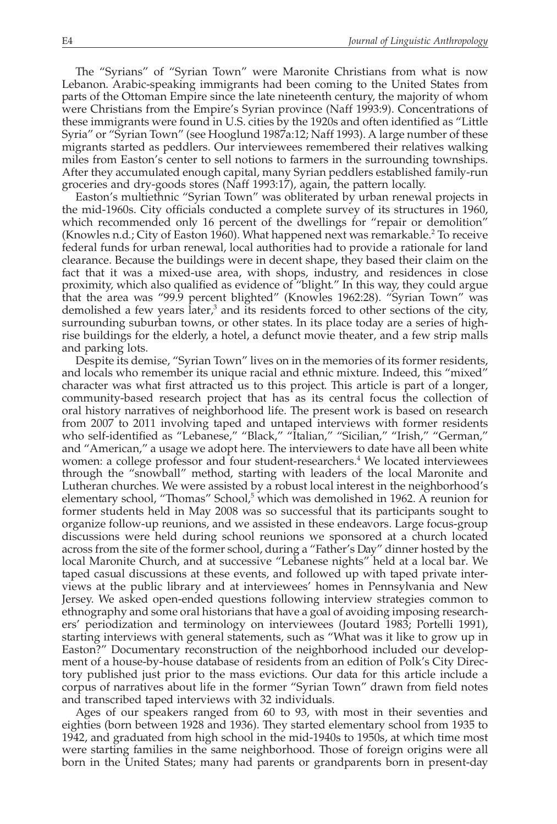The "Syrians" of "Syrian Town" were Maronite Christians from what is now Lebanon. Arabic-speaking immigrants had been coming to the United States from parts of the Ottoman Empire since the late nineteenth century, the majority of whom were Christians from the Empire's Syrian province (Naff 1993:9). Concentrations of these immigrants were found in U.S. cities by the 1920s and often identified as "Little Syria" or "Syrian Town" (see Hooglund 1987a:12; Naff 1993). A large number of these migrants started as peddlers. Our interviewees remembered their relatives walking miles from Easton's center to sell notions to farmers in the surrounding townships. After they accumulated enough capital, many Syrian peddlers established family-run groceries and dry-goods stores (Naff 1993:17), again, the pattern locally.

Easton's multiethnic "Syrian Town" was obliterated by urban renewal projects in the mid-1960s. City officials conducted a complete survey of its structures in 1960, which recommended only 16 percent of the dwellings for "repair or demolition" (Knowles n.d.; City of Easton 1960). What happened next was remarkable.<sup>2</sup> To receive federal funds for urban renewal, local authorities had to provide a rationale for land clearance. Because the buildings were in decent shape, they based their claim on the fact that it was a mixed-use area, with shops, industry, and residences in close proximity, which also qualified as evidence of "blight." In this way, they could argue that the area was "99.9 percent blighted" (Knowles 1962:28). "Syrian Town" was demolished a few years later, $3$  and its residents forced to other sections of the city, surrounding suburban towns, or other states. In its place today are a series of highrise buildings for the elderly, a hotel, a defunct movie theater, and a few strip malls and parking lots.

Despite its demise, "Syrian Town" lives on in the memories of its former residents, and locals who remember its unique racial and ethnic mixture. Indeed, this "mixed" character was what first attracted us to this project. This article is part of a longer, community-based research project that has as its central focus the collection of oral history narratives of neighborhood life. The present work is based on research from 2007 to 2011 involving taped and untaped interviews with former residents who self-identified as "Lebanese," "Black," "Italian," "Sicilian," "Irish," "German," and "American," a usage we adopt here. The interviewers to date have all been white women: a college professor and four student-researchers.<sup>4</sup> We located interviewees through the "snowball" method, starting with leaders of the local Maronite and Lutheran churches. We were assisted by a robust local interest in the neighborhood's elementary school, "Thomas" School,<sup>5</sup> which was demolished in 1962. A reunion for former students held in May 2008 was so successful that its participants sought to organize follow-up reunions, and we assisted in these endeavors. Large focus-group discussions were held during school reunions we sponsored at a church located across from the site of the former school, during a "Father's Day" dinner hosted by the local Maronite Church, and at successive "Lebanese nights" held at a local bar. We taped casual discussions at these events, and followed up with taped private interviews at the public library and at interviewees' homes in Pennsylvania and New Jersey. We asked open-ended questions following interview strategies common to ethnography and some oral historians that have a goal of avoiding imposing researchers' periodization and terminology on interviewees (Joutard 1983; Portelli 1991), starting interviews with general statements, such as "What was it like to grow up in Easton?" Documentary reconstruction of the neighborhood included our development of a house-by-house database of residents from an edition of Polk's City Directory published just prior to the mass evictions. Our data for this article include a corpus of narratives about life in the former "Syrian Town" drawn from field notes and transcribed taped interviews with 32 individuals.

Ages of our speakers ranged from 60 to 93, with most in their seventies and eighties (born between 1928 and 1936). They started elementary school from 1935 to 1942, and graduated from high school in the mid-1940s to 1950s, at which time most were starting families in the same neighborhood. Those of foreign origins were all born in the United States; many had parents or grandparents born in present-day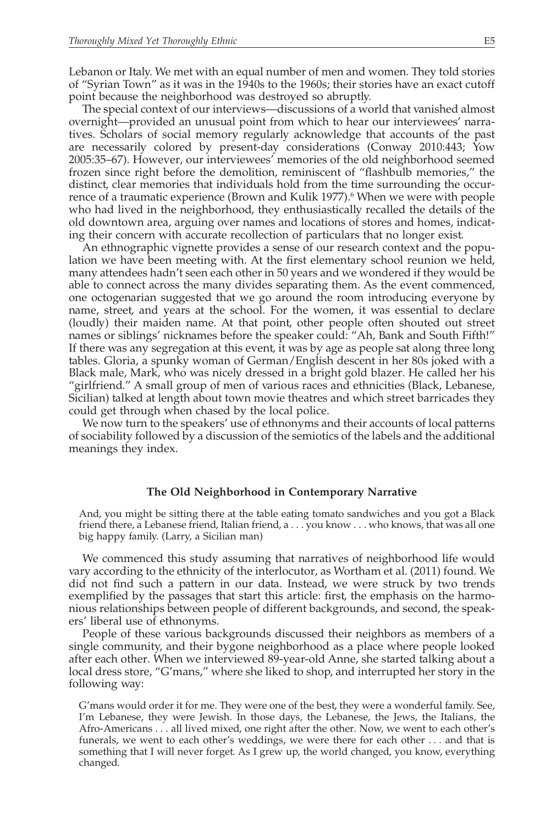Lebanon or Italy. We met with an equal number of men and women. They told stories of "Syrian Town" as it was in the 1940s to the 1960s; their stories have an exact cutoff point because the neighborhood was destroyed so abruptly.

The special context of our interviews—discussions of a world that vanished almost overnight—provided an unusual point from which to hear our interviewees' narratives. Scholars of social memory regularly acknowledge that accounts of the past are necessarily colored by present-day considerations (Conway 2010:443; Yow 2005:35–67). However, our interviewees' memories of the old neighborhood seemed frozen since right before the demolition, reminiscent of "flashbulb memories," the distinct, clear memories that individuals hold from the time surrounding the occurrence of a traumatic experience (Brown and Kulik 1977).<sup>6</sup> When we were with people who had lived in the neighborhood, they enthusiastically recalled the details of the old downtown area, arguing over names and locations of stores and homes, indicating their concern with accurate recollection of particulars that no longer exist.

An ethnographic vignette provides a sense of our research context and the population we have been meeting with. At the first elementary school reunion we held, many attendees hadn't seen each other in 50 years and we wondered if they would be able to connect across the many divides separating them. As the event commenced, one octogenarian suggested that we go around the room introducing everyone by name, street, and years at the school. For the women, it was essential to declare (loudly) their maiden name. At that point, other people often shouted out street names or siblings' nicknames before the speaker could: "Ah, Bank and South Fifth!" If there was any segregation at this event, it was by age as people sat along three long tables. Gloria, a spunky woman of German/English descent in her 80s joked with a Black male, Mark, who was nicely dressed in a bright gold blazer. He called her his "girlfriend." A small group of men of various races and ethnicities (Black, Lebanese, Sicilian) talked at length about town movie theatres and which street barricades they could get through when chased by the local police.

We now turn to the speakers' use of ethnonyms and their accounts of local patterns of sociability followed by a discussion of the semiotics of the labels and the additional meanings they index.

# **The Old Neighborhood in Contemporary Narrative**

And, you might be sitting there at the table eating tomato sandwiches and you got a Black friend there, a Lebanese friend, Italian friend, a . . . you know . . . who knows, that was all one big happy family. (Larry, a Sicilian man)

We commenced this study assuming that narratives of neighborhood life would vary according to the ethnicity of the interlocutor, as Wortham et al. (2011) found. We did not find such a pattern in our data. Instead, we were struck by two trends exemplified by the passages that start this article: first, the emphasis on the harmonious relationships between people of different backgrounds, and second, the speakers' liberal use of ethnonyms.

People of these various backgrounds discussed their neighbors as members of a single community, and their bygone neighborhood as a place where people looked after each other. When we interviewed 89-year-old Anne, she started talking about a local dress store, "G'mans," where she liked to shop, and interrupted her story in the following way:

G'mans would order it for me. They were one of the best, they were a wonderful family. See, I'm Lebanese, they were Jewish. In those days, the Lebanese, the Jews, the Italians, the Afro-Americans . . . all lived mixed, one right after the other. Now, we went to each other's funerals, we went to each other's weddings, we were there for each other . . . and that is something that I will never forget. As I grew up, the world changed, you know, everything changed.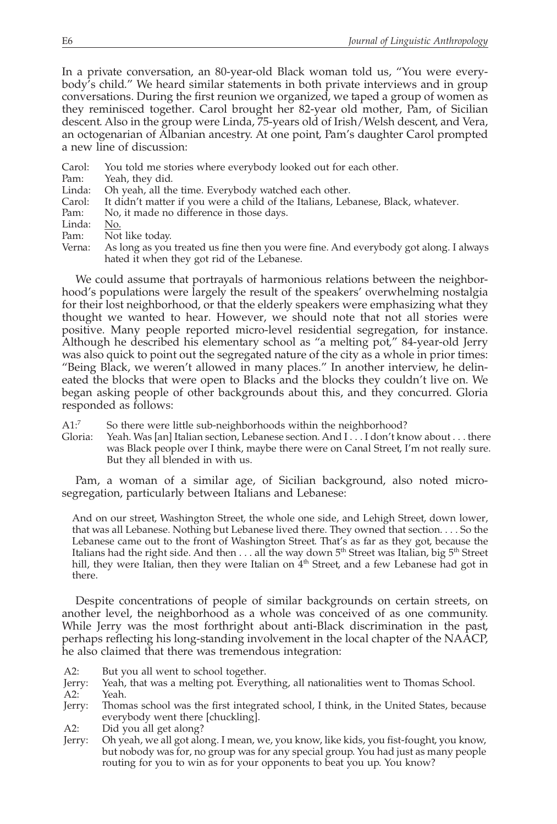In a private conversation, an 80-year-old Black woman told us, "You were everybody's child." We heard similar statements in both private interviews and in group conversations. During the first reunion we organized, we taped a group of women as they reminisced together. Carol brought her 82-year old mother, Pam, of Sicilian descent. Also in the group were Linda, 75-years old of Irish/Welsh descent, and Vera, an octogenarian of Albanian ancestry. At one point, Pam's daughter Carol prompted a new line of discussion:

- Carol: You told me stories where everybody looked out for each other.<br>Pam: Yeah, they did.
- Pam: Yeah, they did.<br>Linda: Oh veah, all the
- Oh yeah, all the time. Everybody watched each other.
- Carol: It didn't matter if you were a child of the Italians, Lebanese, Black, whatever.
- Pam: No, it made no difference in those days.
- Linda: No.
- Pam: Not like today.
- Verna: As long as you treated us fine then you were fine. And everybody got along. I always hated it when they got rid of the Lebanese.

We could assume that portrayals of harmonious relations between the neighborhood's populations were largely the result of the speakers' overwhelming nostalgia for their lost neighborhood, or that the elderly speakers were emphasizing what they thought we wanted to hear. However, we should note that not all stories were positive. Many people reported micro-level residential segregation, for instance. Although he described his elementary school as "a melting pot," 84-year-old Jerry was also quick to point out the segregated nature of the city as a whole in prior times: "Being Black, we weren't allowed in many places." In another interview, he delineated the blocks that were open to Blacks and the blocks they couldn't live on. We began asking people of other backgrounds about this, and they concurred. Gloria responded as follows:

A1:<sup>7</sup> So there were little sub-neighborhoods within the neighborhood?<br>Gloria: Yeah. Was [an] Italian section. Lebanese section. And [...] don't kno

Yeah. Was [an] Italian section, Lebanese section. And I . . . I don't know about . . . there was Black people over I think, maybe there were on Canal Street, I'm not really sure. But they all blended in with us.

Pam, a woman of a similar age, of Sicilian background, also noted microsegregation, particularly between Italians and Lebanese:

And on our street, Washington Street, the whole one side, and Lehigh Street, down lower, that was all Lebanese. Nothing but Lebanese lived there. They owned that section. . . . So the Lebanese came out to the front of Washington Street. That's as far as they got, because the Italians had the right side. And then  $\dots$  all the way down  $5<sup>th</sup>$  Street was Italian, big  $5<sup>th</sup>$  Street hill, they were Italian, then they were Italian on 4<sup>th</sup> Street, and a few Lebanese had got in there.

Despite concentrations of people of similar backgrounds on certain streets, on another level, the neighborhood as a whole was conceived of as one community. While Jerry was the most forthright about anti-Black discrimination in the past, perhaps reflecting his long-standing involvement in the local chapter of the NAACP, he also claimed that there was tremendous integration:

- A2: But you all went to school together.
- Jerry: Yeah, that was a melting pot. Everything, all nationalities went to Thomas School.
- A2: Yeah.
- Jerry: Thomas school was the first integrated school, I think, in the United States, because everybody went there [chuckling].
- A2: Did you all get along?
- Jerry: Oh yeah, we all got along. I mean, we, you know, like kids, you fist-fought, you know, but nobody was for, no group was for any special group. You had just as many people routing for you to win as for your opponents to beat you up. You know?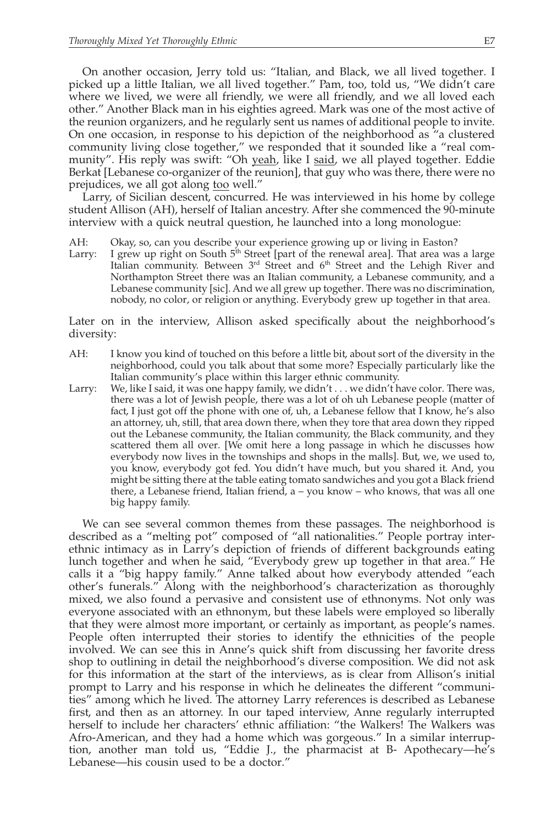On another occasion, Jerry told us: "Italian, and Black, we all lived together. I picked up a little Italian, we all lived together." Pam, too, told us, "We didn't care where we lived, we were all friendly, we were all friendly, and we all loved each other." Another Black man in his eighties agreed. Mark was one of the most active of the reunion organizers, and he regularly sent us names of additional people to invite. On one occasion, in response to his depiction of the neighborhood as "a clustered community living close together," we responded that it sounded like a "real community". His reply was swift: "Oh yeah, like I said, we all played together. Eddie Berkat [Lebanese co-organizer of the reunion], that guy who was there, there were no prejudices, we all got along too well."

Larry, of Sicilian descent, concurred. He was interviewed in his home by college student Allison (AH), herself of Italian ancestry. After she commenced the 90-minute interview with a quick neutral question, he launched into a long monologue:

AH: Okay, so, can you describe your experience growing up or living in Easton?

Larry: I grew up right on South  $5<sup>th</sup>$  Street [part of the renewal area]. That area was a large Italian community. Between 3<sup>rd</sup> Street and 6<sup>th</sup> Street and the Lehigh River and Northampton Street there was an Italian community, a Lebanese community, and a Lebanese community [sic]. And we all grew up together. There was no discrimination, nobody, no color, or religion or anything. Everybody grew up together in that area.

Later on in the interview, Allison asked specifically about the neighborhood's diversity:

- AH: I know you kind of touched on this before a little bit, about sort of the diversity in the neighborhood, could you talk about that some more? Especially particularly like the Italian community's place within this larger ethnic community.
- Larry: We, like I said, it was one happy family, we didn't . . . we didn't have color. There was, there was a lot of Jewish people, there was a lot of oh uh Lebanese people (matter of fact, I just got off the phone with one of, uh, a Lebanese fellow that I know, he's also an attorney, uh, still, that area down there, when they tore that area down they ripped out the Lebanese community, the Italian community, the Black community, and they scattered them all over. [We omit here a long passage in which he discusses how everybody now lives in the townships and shops in the malls]. But, we, we used to, you know, everybody got fed. You didn't have much, but you shared it. And, you might be sitting there at the table eating tomato sandwiches and you got a Black friend there, a Lebanese friend, Italian friend, a – you know – who knows, that was all one big happy family.

We can see several common themes from these passages. The neighborhood is described as a "melting pot" composed of "all nationalities." People portray interethnic intimacy as in Larry's depiction of friends of different backgrounds eating lunch together and when he said, "Everybody grew up together in that area." He calls it a "big happy family." Anne talked about how everybody attended "each other's funerals." Along with the neighborhood's characterization as thoroughly mixed, we also found a pervasive and consistent use of ethnonyms. Not only was everyone associated with an ethnonym, but these labels were employed so liberally that they were almost more important, or certainly as important, as people's names. People often interrupted their stories to identify the ethnicities of the people involved. We can see this in Anne's quick shift from discussing her favorite dress shop to outlining in detail the neighborhood's diverse composition. We did not ask for this information at the start of the interviews, as is clear from Allison's initial prompt to Larry and his response in which he delineates the different "communities" among which he lived. The attorney Larry references is described as Lebanese first, and then as an attorney. In our taped interview, Anne regularly interrupted herself to include her characters' ethnic affiliation: "the Walkers! The Walkers was Afro-American, and they had a home which was gorgeous." In a similar interruption, another man told us, "Eddie J., the pharmacist at B- Apothecary—he's Lebanese—his cousin used to be a doctor."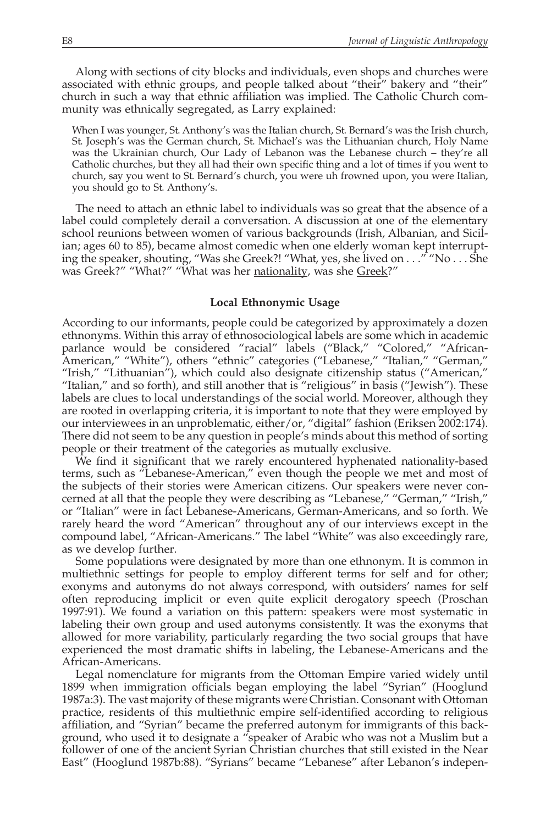Along with sections of city blocks and individuals, even shops and churches were associated with ethnic groups, and people talked about "their" bakery and "their" church in such a way that ethnic affiliation was implied. The Catholic Church community was ethnically segregated, as Larry explained:

When I was younger, St. Anthony's was the Italian church, St. Bernard's was the Irish church, St. Joseph's was the German church, St. Michael's was the Lithuanian church, Holy Name was the Ukrainian church, Our Lady of Lebanon was the Lebanese church – they're all Catholic churches, but they all had their own specific thing and a lot of times if you went to church, say you went to St. Bernard's church, you were uh frowned upon, you were Italian, you should go to St. Anthony's.

The need to attach an ethnic label to individuals was so great that the absence of a label could completely derail a conversation. A discussion at one of the elementary school reunions between women of various backgrounds (Irish, Albanian, and Sicilian; ages 60 to 85), became almost comedic when one elderly woman kept interrupting the speaker, shouting, "Was she Greek?! "What, yes, she lived on . . ." "No . . . She was Greek?" "What?" "What was her nationality, was she Greek?"

# **Local Ethnonymic Usage**

According to our informants, people could be categorized by approximately a dozen ethnonyms. Within this array of ethnosociological labels are some which in academic parlance would be considered "racial" labels ("Black," "Colored," "African-American," "White"), others "ethnic" categories ("Lebanese," "Italian," "German," "Irish," "Lithuanian"), which could also designate citizenship status ("American," "Italian," and so forth), and still another that is "religious" in basis ("Jewish"). These labels are clues to local understandings of the social world. Moreover, although they are rooted in overlapping criteria, it is important to note that they were employed by our interviewees in an unproblematic, either/or, "digital" fashion (Eriksen 2002:174). There did not seem to be any question in people's minds about this method of sorting people or their treatment of the categories as mutually exclusive.

We find it significant that we rarely encountered hyphenated nationality-based terms, such as "Lebanese-American," even though the people we met and most of the subjects of their stories were American citizens. Our speakers were never concerned at all that the people they were describing as "Lebanese," "German," "Irish," or "Italian" were in fact Lebanese-Americans, German-Americans, and so forth. We rarely heard the word "American" throughout any of our interviews except in the compound label, "African-Americans." The label "White" was also exceedingly rare, as we develop further.

Some populations were designated by more than one ethnonym. It is common in multiethnic settings for people to employ different terms for self and for other; exonyms and autonyms do not always correspond, with outsiders' names for self often reproducing implicit or even quite explicit derogatory speech (Proschan 1997:91). We found a variation on this pattern: speakers were most systematic in labeling their own group and used autonyms consistently. It was the exonyms that allowed for more variability, particularly regarding the two social groups that have experienced the most dramatic shifts in labeling, the Lebanese-Americans and the African-Americans.

Legal nomenclature for migrants from the Ottoman Empire varied widely until 1899 when immigration officials began employing the label "Syrian" (Hooglund 1987a:3). The vast majority of these migrants were Christian. Consonant with Ottoman practice, residents of this multiethnic empire self-identified according to religious affiliation, and "Syrian" became the preferred autonym for immigrants of this background, who used it to designate a "speaker of Arabic who was not a Muslim but a follower of one of the ancient Syrian Christian churches that still existed in the Near East" (Hooglund 1987b:88). "Syrians" became "Lebanese" after Lebanon's indepen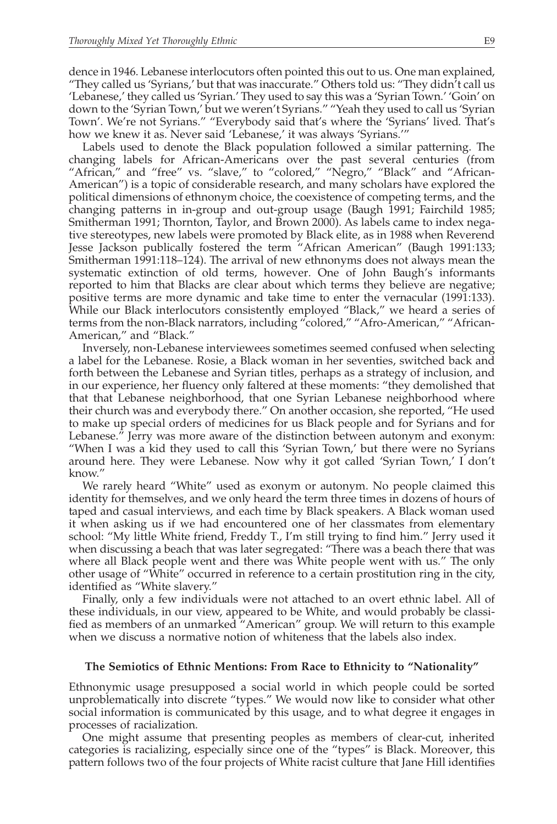dence in 1946. Lebanese interlocutors often pointed this out to us. One man explained, "They called us 'Syrians,' but that was inaccurate." Others told us: "They didn't call us 'Lebanese,' they called us 'Syrian.' They used to say this was a 'Syrian Town.' 'Goin' on down to the 'Syrian Town,' but we weren't Syrians." "Yeah they used to call us 'Syrian Town'. We're not Syrians." "Everybody said that's where the 'Syrians' lived. That's how we knew it as. Never said 'Lebanese,' it was always 'Syrians.'"

Labels used to denote the Black population followed a similar patterning. The changing labels for African-Americans over the past several centuries (from "African," and "free" vs. "slave," to "colored," "Negro," "Black" and "African-American") is a topic of considerable research, and many scholars have explored the political dimensions of ethnonym choice, the coexistence of competing terms, and the changing patterns in in-group and out-group usage (Baugh 1991; Fairchild 1985; Smitherman 1991; Thornton, Taylor, and Brown 2000). As labels came to index negative stereotypes, new labels were promoted by Black elite, as in 1988 when Reverend Jesse Jackson publically fostered the term "African American" (Baugh 1991:133; Smitherman 1991:118–124). The arrival of new ethnonyms does not always mean the systematic extinction of old terms, however. One of John Baugh's informants reported to him that Blacks are clear about which terms they believe are negative; positive terms are more dynamic and take time to enter the vernacular (1991:133). While our Black interlocutors consistently employed "Black," we heard a series of terms from the non-Black narrators, including "colored," "Afro-American," "African-American," and "Black."

Inversely, non-Lebanese interviewees sometimes seemed confused when selecting a label for the Lebanese. Rosie, a Black woman in her seventies, switched back and forth between the Lebanese and Syrian titles, perhaps as a strategy of inclusion, and in our experience, her fluency only faltered at these moments: "they demolished that that that Lebanese neighborhood, that one Syrian Lebanese neighborhood where their church was and everybody there." On another occasion, she reported, "He used to make up special orders of medicines for us Black people and for Syrians and for Lebanese." Jerry was more aware of the distinction between autonym and exonym: "When I was a kid they used to call this 'Syrian Town,' but there were no Syrians around here. They were Lebanese. Now why it got called 'Syrian Town,' I don't know."

We rarely heard "White" used as exonym or autonym. No people claimed this identity for themselves, and we only heard the term three times in dozens of hours of taped and casual interviews, and each time by Black speakers. A Black woman used it when asking us if we had encountered one of her classmates from elementary school: "My little White friend, Freddy T., I'm still trying to find him." Jerry used it when discussing a beach that was later segregated: "There was a beach there that was where all Black people went and there was White people went with us." The only other usage of "White" occurred in reference to a certain prostitution ring in the city, identified as "White slavery."

Finally, only a few individuals were not attached to an overt ethnic label. All of these individuals, in our view, appeared to be White, and would probably be classified as members of an unmarked "American" group. We will return to this example when we discuss a normative notion of whiteness that the labels also index.

# **The Semiotics of Ethnic Mentions: From Race to Ethnicity to "Nationality"**

Ethnonymic usage presupposed a social world in which people could be sorted unproblematically into discrete "types." We would now like to consider what other social information is communicated by this usage, and to what degree it engages in processes of racialization.

One might assume that presenting peoples as members of clear-cut, inherited categories is racializing, especially since one of the "types" is Black. Moreover, this pattern follows two of the four projects of White racist culture that Jane Hill identifies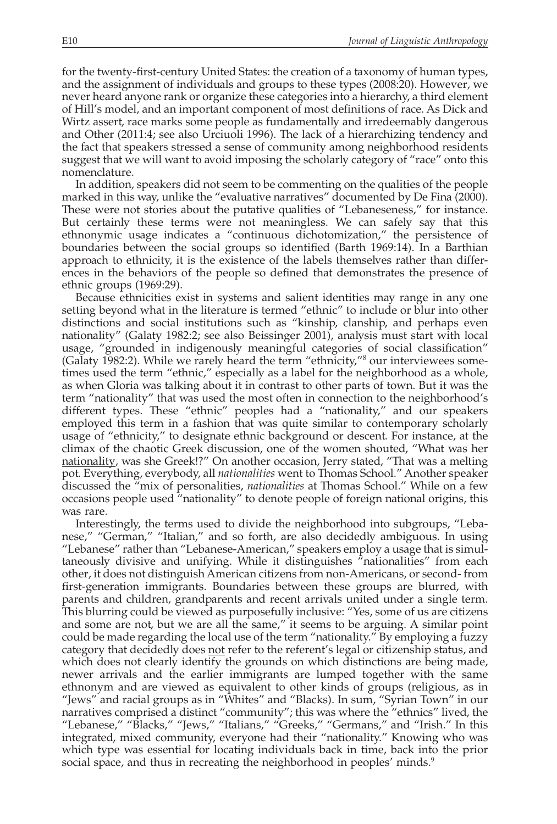for the twenty-first-century United States: the creation of a taxonomy of human types, and the assignment of individuals and groups to these types (2008:20). However, we never heard anyone rank or organize these categories into a hierarchy, a third element of Hill's model, and an important component of most definitions of race. As Dick and Wirtz assert, race marks some people as fundamentally and irredeemably dangerous and Other (2011:4; see also Urciuoli 1996). The lack of a hierarchizing tendency and the fact that speakers stressed a sense of community among neighborhood residents suggest that we will want to avoid imposing the scholarly category of "race" onto this nomenclature.

In addition, speakers did not seem to be commenting on the qualities of the people marked in this way, unlike the "evaluative narratives" documented by De Fina (2000). These were not stories about the putative qualities of "Lebaneseness," for instance. But certainly these terms were not meaningless. We can safely say that this ethnonymic usage indicates a "continuous dichotomization," the persistence of boundaries between the social groups so identified (Barth 1969:14). In a Barthian approach to ethnicity, it is the existence of the labels themselves rather than differences in the behaviors of the people so defined that demonstrates the presence of ethnic groups (1969:29).

Because ethnicities exist in systems and salient identities may range in any one setting beyond what in the literature is termed "ethnic" to include or blur into other distinctions and social institutions such as "kinship, clanship, and perhaps even nationality" (Galaty 1982:2; see also Beissinger 2001), analysis must start with local usage, "grounded in indigenously meaningful categories of social classification" (Galaty 1982:2). While we rarely heard the term "ethnicity,"8 our interviewees sometimes used the term "ethnic," especially as a label for the neighborhood as a whole, as when Gloria was talking about it in contrast to other parts of town. But it was the term "nationality" that was used the most often in connection to the neighborhood's different types. These "ethnic" peoples had a "nationality," and our speakers employed this term in a fashion that was quite similar to contemporary scholarly usage of "ethnicity," to designate ethnic background or descent. For instance, at the climax of the chaotic Greek discussion, one of the women shouted, "What was her nationality, was she Greek!?" On another occasion, Jerry stated, "That was a melting pot. Everything, everybody, all *nationalities* went to Thomas School." Another speaker discussed the "mix of personalities, *nationalities* at Thomas School." While on a few occasions people used "nationality" to denote people of foreign national origins, this was rare.

Interestingly, the terms used to divide the neighborhood into subgroups, "Lebanese," "German," "Italian," and so forth, are also decidedly ambiguous. In using "Lebanese" rather than "Lebanese-American," speakers employ a usage that is simultaneously divisive and unifying. While it distinguishes "nationalities" from each other, it does not distinguish American citizens from non-Americans, or second- from first-generation immigrants. Boundaries between these groups are blurred, with parents and children, grandparents and recent arrivals united under a single term. This blurring could be viewed as purposefully inclusive: "Yes, some of us are citizens and some are not, but we are all the same," it seems to be arguing. A similar point could be made regarding the local use of the term "nationality." By employing a fuzzy category that decidedly does not refer to the referent's legal or citizenship status, and which does not clearly identify the grounds on which distinctions are being made, newer arrivals and the earlier immigrants are lumped together with the same ethnonym and are viewed as equivalent to other kinds of groups (religious, as in "Jews" and racial groups as in "Whites" and "Blacks). In sum, "Syrian Town" in our narratives comprised a distinct "community"; this was where the "ethnics" lived, the "Lebanese," "Blacks," "Jews," "Italians," "Greeks," "Germans," and "Irish." In this integrated, mixed community, everyone had their "nationality." Knowing who was which type was essential for locating individuals back in time, back into the prior social space, and thus in recreating the neighborhood in peoples' minds.<sup>9</sup>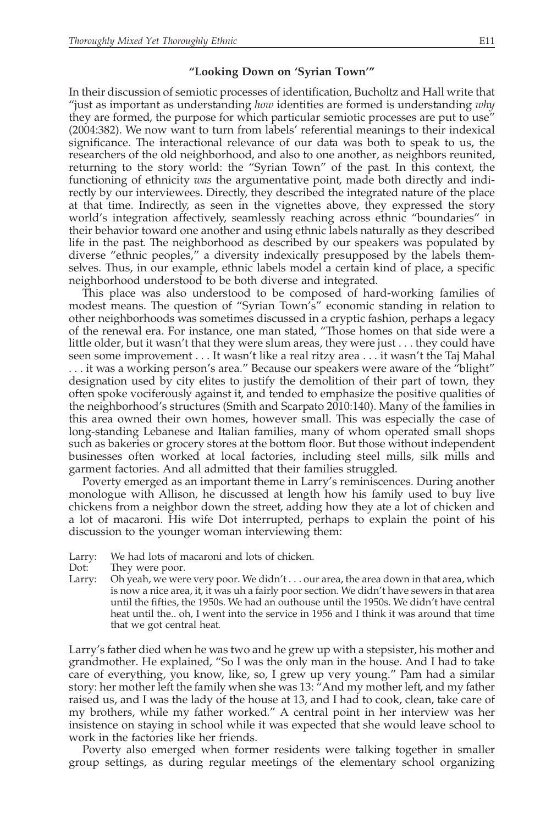# **"Looking Down on 'Syrian Town'"**

In their discussion of semiotic processes of identification, Bucholtz and Hall write that "just as important as understanding *how* identities are formed is understanding *why* they are formed, the purpose for which particular semiotic processes are put to use" (2004:382). We now want to turn from labels' referential meanings to their indexical significance. The interactional relevance of our data was both to speak to us, the researchers of the old neighborhood, and also to one another, as neighbors reunited, returning to the story world: the "Syrian Town" of the past. In this context, the functioning of ethnicity *was* the argumentative point, made both directly and indirectly by our interviewees. Directly, they described the integrated nature of the place at that time. Indirectly, as seen in the vignettes above, they expressed the story world's integration affectively, seamlessly reaching across ethnic "boundaries" in their behavior toward one another and using ethnic labels naturally as they described life in the past. The neighborhood as described by our speakers was populated by diverse "ethnic peoples," a diversity indexically presupposed by the labels themselves. Thus, in our example, ethnic labels model a certain kind of place, a specific neighborhood understood to be both diverse and integrated.

This place was also understood to be composed of hard-working families of modest means. The question of "Syrian Town's" economic standing in relation to other neighborhoods was sometimes discussed in a cryptic fashion, perhaps a legacy of the renewal era. For instance, one man stated, "Those homes on that side were a little older, but it wasn't that they were slum areas, they were just . . . they could have seen some improvement . . . It wasn't like a real ritzy area . . . it wasn't the Taj Mahal . . . it was a working person's area." Because our speakers were aware of the "blight" designation used by city elites to justify the demolition of their part of town, they often spoke vociferously against it, and tended to emphasize the positive qualities of the neighborhood's structures (Smith and Scarpato 2010:140). Many of the families in this area owned their own homes, however small. This was especially the case of long-standing Lebanese and Italian families, many of whom operated small shops such as bakeries or grocery stores at the bottom floor. But those without independent businesses often worked at local factories, including steel mills, silk mills and garment factories. And all admitted that their families struggled.

Poverty emerged as an important theme in Larry's reminiscences. During another monologue with Allison, he discussed at length how his family used to buy live chickens from a neighbor down the street, adding how they ate a lot of chicken and a lot of macaroni. His wife Dot interrupted, perhaps to explain the point of his discussion to the younger woman interviewing them:

- Larry: We had lots of macaroni and lots of chicken.
- Dot: They were poor.
- Larry: Oh yeah, we were very poor. We didn't  $\dots$  our area, the area down in that area, which is now a nice area, it, it was uh a fairly poor section. We didn't have sewers in that area until the fifties, the 1950s. We had an outhouse until the 1950s. We didn't have central heat until the.. oh, I went into the service in 1956 and I think it was around that time that we got central heat.

Larry's father died when he was two and he grew up with a stepsister, his mother and grandmother. He explained, "So I was the only man in the house. And I had to take care of everything, you know, like, so, I grew up very young." Pam had a similar story: her mother left the family when she was 13: "And my mother left, and my father raised us, and I was the lady of the house at 13, and I had to cook, clean, take care of my brothers, while my father worked." A central point in her interview was her insistence on staying in school while it was expected that she would leave school to work in the factories like her friends.

Poverty also emerged when former residents were talking together in smaller group settings, as during regular meetings of the elementary school organizing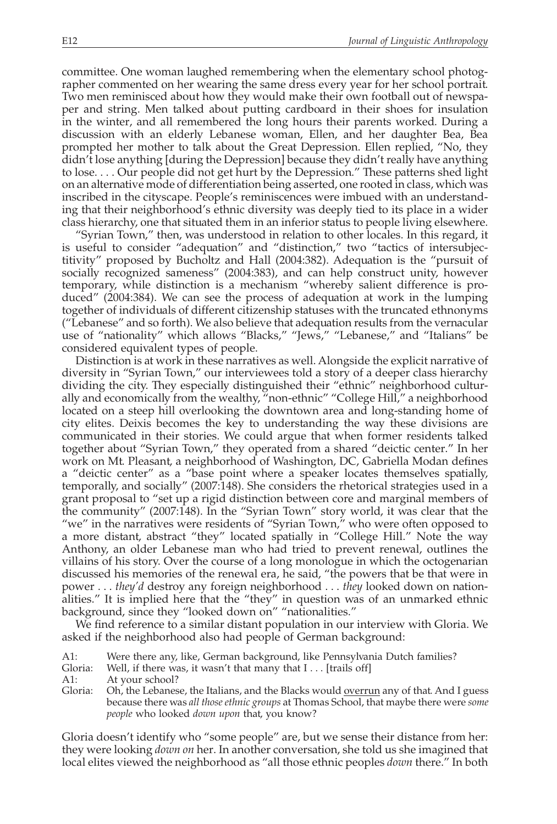committee. One woman laughed remembering when the elementary school photographer commented on her wearing the same dress every year for her school portrait. Two men reminisced about how they would make their own football out of newspaper and string. Men talked about putting cardboard in their shoes for insulation in the winter, and all remembered the long hours their parents worked. During a discussion with an elderly Lebanese woman, Ellen, and her daughter Bea, Bea prompted her mother to talk about the Great Depression. Ellen replied, "No, they didn't lose anything [during the Depression] because they didn't really have anything to lose. . . . Our people did not get hurt by the Depression." These patterns shed light on an alternative mode of differentiation being asserted, one rooted in class, which was inscribed in the cityscape. People's reminiscences were imbued with an understanding that their neighborhood's ethnic diversity was deeply tied to its place in a wider class hierarchy, one that situated them in an inferior status to people living elsewhere.

"Syrian Town," then, was understood in relation to other locales. In this regard, it is useful to consider "adequation" and "distinction," two "tactics of intersubjectitivity" proposed by Bucholtz and Hall (2004:382). Adequation is the "pursuit of socially recognized sameness" (2004:383), and can help construct unity, however temporary, while distinction is a mechanism "whereby salient difference is produced" (2004:384). We can see the process of adequation at work in the lumping together of individuals of different citizenship statuses with the truncated ethnonyms ("Lebanese" and so forth). We also believe that adequation results from the vernacular use of "nationality" which allows "Blacks," "Jews," "Lebanese," and "Italians" be considered equivalent types of people.

Distinction is at work in these narratives as well. Alongside the explicit narrative of diversity in "Syrian Town," our interviewees told a story of a deeper class hierarchy dividing the city. They especially distinguished their "ethnic" neighborhood culturally and economically from the wealthy, "non-ethnic" "College Hill," a neighborhood located on a steep hill overlooking the downtown area and long-standing home of city elites. Deixis becomes the key to understanding the way these divisions are communicated in their stories. We could argue that when former residents talked together about "Syrian Town," they operated from a shared "deictic center." In her work on Mt. Pleasant, a neighborhood of Washington, DC, Gabriella Modan defines a "deictic center" as a "base point where a speaker locates themselves spatially, temporally, and socially" (2007:148). She considers the rhetorical strategies used in a grant proposal to "set up a rigid distinction between core and marginal members of the community" (2007:148). In the "Syrian Town" story world, it was clear that the "we" in the narratives were residents of "Syrian Town," who were often opposed to a more distant, abstract "they" located spatially in "College Hill." Note the way Anthony, an older Lebanese man who had tried to prevent renewal, outlines the villains of his story. Over the course of a long monologue in which the octogenarian discussed his memories of the renewal era, he said, "the powers that be that were in power . . . *they'd* destroy any foreign neighborhood . . . *they* looked down on nationalities." It is implied here that the "they" in question was of an unmarked ethnic background, since they "looked down on" "nationalities."

We find reference to a similar distant population in our interview with Gloria. We asked if the neighborhood also had people of German background:

- A1: Were there any, like, German background, like Pennsylvania Dutch families?<br>Gloria: Well, if there was, it wasn't that many that I . . . [trails off]
- Well, if there was, it wasn't that many that  $I \dots$  [trails off]

A1: At your school?

Gloria: Oh, the Lebanese, the Italians, and the Blacks would overrun any of that. And I guess because there was *all those ethnic groups* at Thomas School, that maybe there were *some people* who looked *down upon* that, you know?

Gloria doesn't identify who "some people" are, but we sense their distance from her: they were looking *down on* her. In another conversation, she told us she imagined that local elites viewed the neighborhood as "all those ethnic peoples *down* there." In both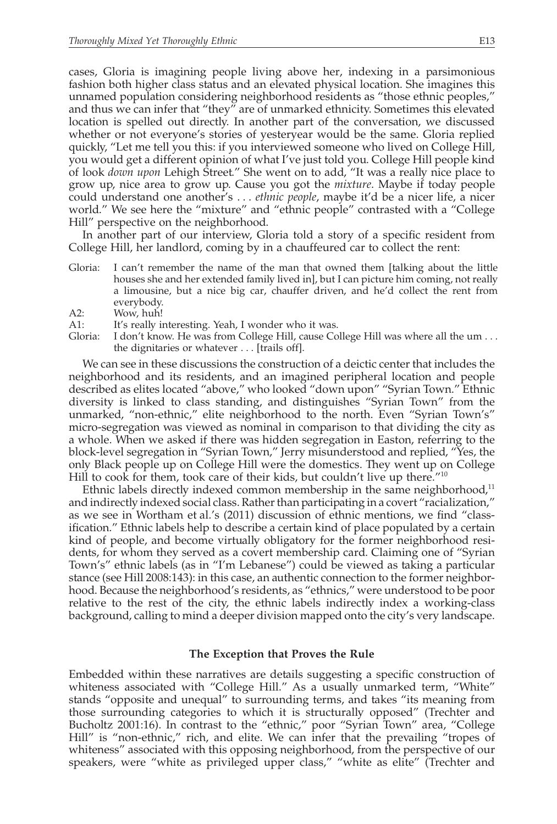cases, Gloria is imagining people living above her, indexing in a parsimonious fashion both higher class status and an elevated physical location. She imagines this unnamed population considering neighborhood residents as "those ethnic peoples," and thus we can infer that "they" are of unmarked ethnicity. Sometimes this elevated location is spelled out directly. In another part of the conversation, we discussed whether or not everyone's stories of yesteryear would be the same. Gloria replied quickly, "Let me tell you this: if you interviewed someone who lived on College Hill, you would get a different opinion of what I've just told you. College Hill people kind of look *down upon* Lehigh Street." She went on to add, "It was a really nice place to grow up, nice area to grow up. Cause you got the *mixture*. Maybe if today people could understand one another's . . . *ethnic people*, maybe it'd be a nicer life, a nicer world." We see here the "mixture" and "ethnic people" contrasted with a "College Hill" perspective on the neighborhood.

In another part of our interview, Gloria told a story of a specific resident from College Hill, her landlord, coming by in a chauffeured car to collect the rent:

- Gloria: I can't remember the name of the man that owned them [talking about the little houses she and her extended family lived in], but I can picture him coming, not really a limousine, but a nice big car, chauffer driven, and he'd collect the rent from everybody.
- A2: Wow, huh!<br>A1: It's really in
- It's really interesting. Yeah, I wonder who it was.
- Gloria: I don't know. He was from College Hill, cause College Hill was where all the um ... the dignitaries or whatever . . . [trails off].

We can see in these discussions the construction of a deictic center that includes the neighborhood and its residents, and an imagined peripheral location and people described as elites located "above," who looked "down upon" "Syrian Town." Ethnic diversity is linked to class standing, and distinguishes "Syrian Town" from the unmarked, "non-ethnic," elite neighborhood to the north. Even "Syrian Town's" micro-segregation was viewed as nominal in comparison to that dividing the city as a whole. When we asked if there was hidden segregation in Easton, referring to the block-level segregation in "Syrian Town," Jerry misunderstood and replied, "Yes, the only Black people up on College Hill were the domestics. They went up on College Hill to cook for them, took care of their kids, but couldn't live up there."<sup>10</sup>

Ethnic labels directly indexed common membership in the same neighborhood, $<sup>11</sup>$ </sup> and indirectly indexed social class. Rather than participating in a covert "racialization," as we see in Wortham et al.'s (2011) discussion of ethnic mentions, we find "classification." Ethnic labels help to describe a certain kind of place populated by a certain kind of people, and become virtually obligatory for the former neighborhood residents, for whom they served as a covert membership card. Claiming one of "Syrian Town's" ethnic labels (as in "I'm Lebanese") could be viewed as taking a particular stance (see Hill 2008:143): in this case, an authentic connection to the former neighborhood. Because the neighborhood's residents, as "ethnics," were understood to be poor relative to the rest of the city, the ethnic labels indirectly index a working-class background, calling to mind a deeper division mapped onto the city's very landscape.

### **The Exception that Proves the Rule**

Embedded within these narratives are details suggesting a specific construction of whiteness associated with "College Hill." As a usually unmarked term, "White" stands "opposite and unequal" to surrounding terms, and takes "its meaning from those surrounding categories to which it is structurally opposed" (Trechter and Bucholtz 2001:16). In contrast to the "ethnic," poor "Syrian Town" area, "College Hill" is "non-ethnic," rich, and elite. We can infer that the prevailing "tropes of whiteness" associated with this opposing neighborhood, from the perspective of our speakers, were "white as privileged upper class," "white as elite" (Trechter and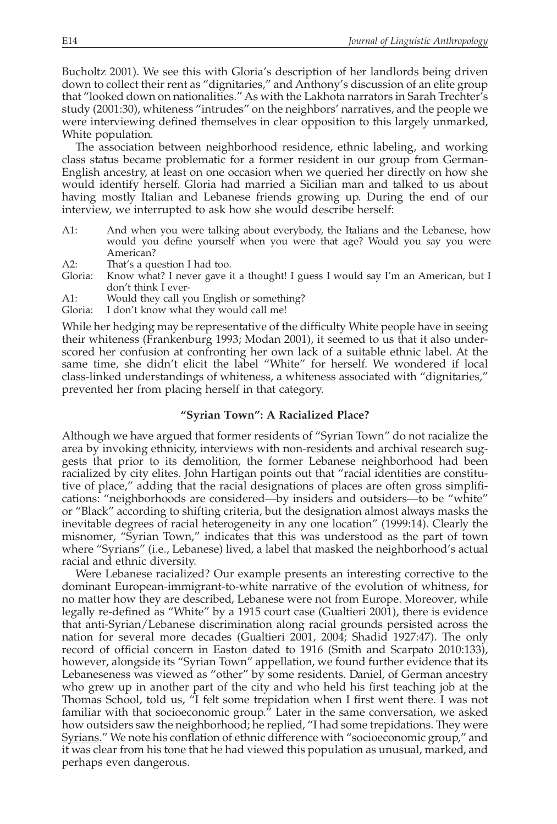Bucholtz 2001). We see this with Gloria's description of her landlords being driven down to collect their rent as "dignitaries," and Anthony's discussion of an elite group that "looked down on nationalities." As with the Lakhota narrators in Sarah Trechter's study (2001:30), whiteness "intrudes" on the neighbors' narratives, and the people we were interviewing defined themselves in clear opposition to this largely unmarked, White population.

The association between neighborhood residence, ethnic labeling, and working class status became problematic for a former resident in our group from German-English ancestry, at least on one occasion when we queried her directly on how she would identify herself. Gloria had married a Sicilian man and talked to us about having mostly Italian and Lebanese friends growing up. During the end of our interview, we interrupted to ask how she would describe herself:

- A1: And when you were talking about everybody, the Italians and the Lebanese, how would you define yourself when you were that age? Would you say you were American?
- A2: That's a question I had too.<br>Gloria: Know what? I never gave it
- Know what? I never gave it a thought! I guess I would say I'm an American, but I don't think I ever-
- A1: Would they call you English or something?
- Gloria: I don't know what they would call me!

While her hedging may be representative of the difficulty White people have in seeing their whiteness (Frankenburg 1993; Modan 2001), it seemed to us that it also underscored her confusion at confronting her own lack of a suitable ethnic label. At the same time, she didn't elicit the label "White" for herself. We wondered if local class-linked understandings of whiteness, a whiteness associated with "dignitaries," prevented her from placing herself in that category.

# **"Syrian Town": A Racialized Place?**

Although we have argued that former residents of "Syrian Town" do not racialize the area by invoking ethnicity, interviews with non-residents and archival research suggests that prior to its demolition, the former Lebanese neighborhood had been racialized by city elites. John Hartigan points out that "racial identities are constitutive of place," adding that the racial designations of places are often gross simplifications: "neighborhoods are considered—by insiders and outsiders—to be "white" or "Black" according to shifting criteria, but the designation almost always masks the inevitable degrees of racial heterogeneity in any one location" (1999:14). Clearly the misnomer, "Syrian Town," indicates that this was understood as the part of town where "Syrians" (i.e., Lebanese) lived, a label that masked the neighborhood's actual racial and ethnic diversity.

Were Lebanese racialized? Our example presents an interesting corrective to the dominant European-immigrant-to-white narrative of the evolution of whitness, for no matter how they are described, Lebanese were not from Europe. Moreover, while legally re-defined as "White" by a 1915 court case (Gualtieri 2001), there is evidence that anti-Syrian/Lebanese discrimination along racial grounds persisted across the nation for several more decades (Gualtieri 2001, 2004; Shadid 1927:47). The only record of official concern in Easton dated to 1916 (Smith and Scarpato 2010:133), however, alongside its "Syrian Town" appellation, we found further evidence that its Lebaneseness was viewed as "other" by some residents. Daniel, of German ancestry who grew up in another part of the city and who held his first teaching job at the Thomas School, told us, "I felt some trepidation when I first went there. I was not familiar with that socioeconomic group." Later in the same conversation, we asked how outsiders saw the neighborhood; he replied, "I had some trepidations. They were Syrians." We note his conflation of ethnic difference with "socioeconomic group," and it was clear from his tone that he had viewed this population as unusual, marked, and perhaps even dangerous.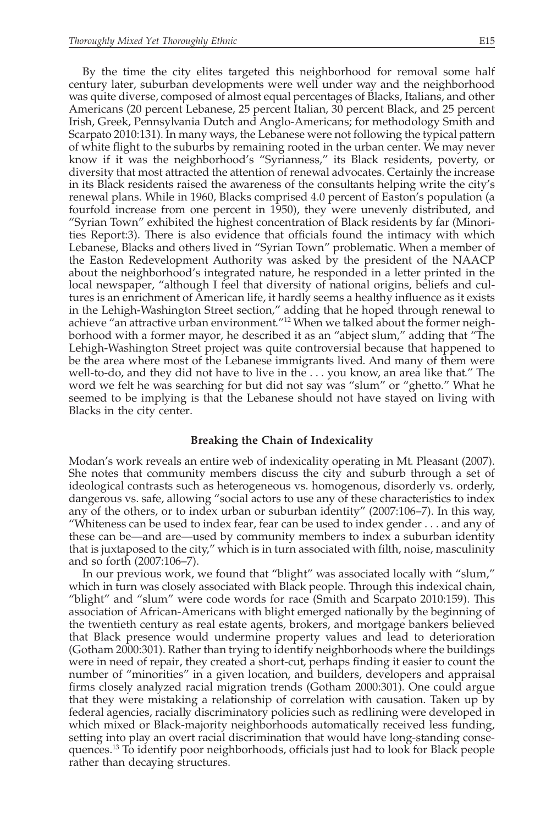By the time the city elites targeted this neighborhood for removal some half century later, suburban developments were well under way and the neighborhood was quite diverse, composed of almost equal percentages of Blacks, Italians, and other Americans (20 percent Lebanese, 25 percent Italian, 30 percent Black, and 25 percent Irish, Greek, Pennsylvania Dutch and Anglo-Americans; for methodology Smith and Scarpato 2010:131). In many ways, the Lebanese were not following the typical pattern of white flight to the suburbs by remaining rooted in the urban center. We may never know if it was the neighborhood's "Syrianness," its Black residents, poverty, or diversity that most attracted the attention of renewal advocates. Certainly the increase in its Black residents raised the awareness of the consultants helping write the city's renewal plans. While in 1960, Blacks comprised 4.0 percent of Easton's population (a fourfold increase from one percent in 1950), they were unevenly distributed, and "Syrian Town" exhibited the highest concentration of Black residents by far (Minorities Report:3). There is also evidence that officials found the intimacy with which Lebanese, Blacks and others lived in "Syrian Town" problematic. When a member of the Easton Redevelopment Authority was asked by the president of the NAACP about the neighborhood's integrated nature, he responded in a letter printed in the local newspaper, "although I feel that diversity of national origins, beliefs and cultures is an enrichment of American life, it hardly seems a healthy influence as it exists in the Lehigh-Washington Street section," adding that he hoped through renewal to achieve "an attractive urban environment."<sup>12</sup> When we talked about the former neighborhood with a former mayor, he described it as an "abject slum," adding that "The Lehigh-Washington Street project was quite controversial because that happened to be the area where most of the Lebanese immigrants lived. And many of them were well-to-do, and they did not have to live in the . . . you know, an area like that." The word we felt he was searching for but did not say was "slum" or "ghetto." What he seemed to be implying is that the Lebanese should not have stayed on living with Blacks in the city center.

# **Breaking the Chain of Indexicality**

Modan's work reveals an entire web of indexicality operating in Mt. Pleasant (2007). She notes that community members discuss the city and suburb through a set of ideological contrasts such as heterogeneous vs. homogenous, disorderly vs. orderly, dangerous vs. safe, allowing "social actors to use any of these characteristics to index any of the others, or to index urban or suburban identity" (2007:106–7). In this way, "Whiteness can be used to index fear, fear can be used to index gender . . . and any of these can be—and are—used by community members to index a suburban identity that is juxtaposed to the city," which is in turn associated with filth, noise, masculinity and so forth (2007:106–7).

In our previous work, we found that "blight" was associated locally with "slum," which in turn was closely associated with Black people. Through this indexical chain, "blight" and "slum" were code words for race (Smith and Scarpato 2010:159). This association of African-Americans with blight emerged nationally by the beginning of the twentieth century as real estate agents, brokers, and mortgage bankers believed that Black presence would undermine property values and lead to deterioration (Gotham 2000:301). Rather than trying to identify neighborhoods where the buildings were in need of repair, they created a short-cut, perhaps finding it easier to count the number of "minorities" in a given location, and builders, developers and appraisal firms closely analyzed racial migration trends (Gotham 2000:301). One could argue that they were mistaking a relationship of correlation with causation. Taken up by federal agencies, racially discriminatory policies such as redlining were developed in which mixed or Black-majority neighborhoods automatically received less funding, setting into play an overt racial discrimination that would have long-standing consequences.13 To identify poor neighborhoods, officials just had to look for Black people rather than decaying structures.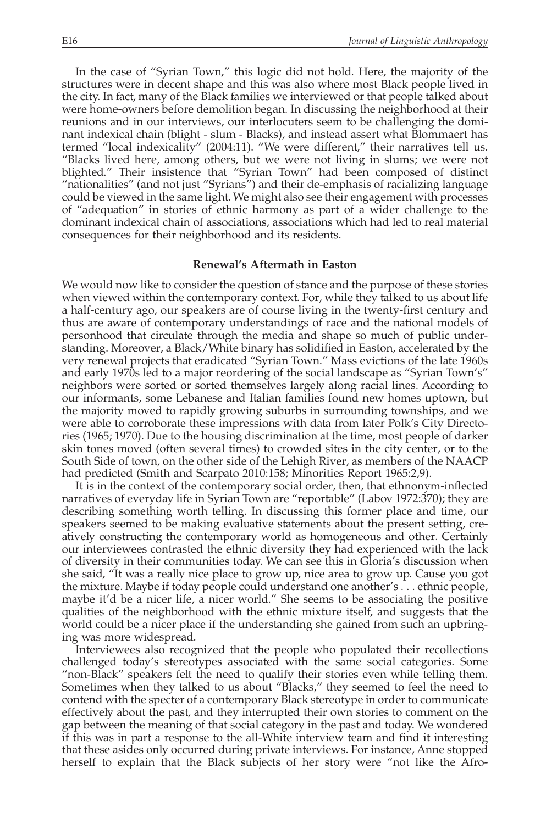In the case of "Syrian Town," this logic did not hold. Here, the majority of the structures were in decent shape and this was also where most Black people lived in the city. In fact, many of the Black families we interviewed or that people talked about were home-owners before demolition began. In discussing the neighborhood at their reunions and in our interviews, our interlocuters seem to be challenging the dominant indexical chain (blight - slum - Blacks), and instead assert what Blommaert has termed "local indexicality" (2004:11). "We were different," their narratives tell us. "Blacks lived here, among others, but we were not living in slums; we were not blighted." Their insistence that "Syrian Town" had been composed of distinct "nationalities" (and not just "Syrians") and their de-emphasis of racializing language could be viewed in the same light. We might also see their engagement with processes of "adequation" in stories of ethnic harmony as part of a wider challenge to the dominant indexical chain of associations, associations which had led to real material consequences for their neighborhood and its residents.

# **Renewal's Aftermath in Easton**

We would now like to consider the question of stance and the purpose of these stories when viewed within the contemporary context. For, while they talked to us about life a half-century ago, our speakers are of course living in the twenty-first century and thus are aware of contemporary understandings of race and the national models of personhood that circulate through the media and shape so much of public understanding. Moreover, a Black/White binary has solidified in Easton, accelerated by the very renewal projects that eradicated "Syrian Town." Mass evictions of the late 1960s and early 1970s led to a major reordering of the social landscape as "Syrian Town's" neighbors were sorted or sorted themselves largely along racial lines. According to our informants, some Lebanese and Italian families found new homes uptown, but the majority moved to rapidly growing suburbs in surrounding townships, and we were able to corroborate these impressions with data from later Polk's City Directories (1965; 1970). Due to the housing discrimination at the time, most people of darker skin tones moved (often several times) to crowded sites in the city center, or to the South Side of town, on the other side of the Lehigh River, as members of the NAACP had predicted (Smith and Scarpato 2010:158; Minorities Report 1965:2,9).

It is in the context of the contemporary social order, then, that ethnonym-inflected narratives of everyday life in Syrian Town are "reportable" (Labov 1972:370); they are describing something worth telling. In discussing this former place and time, our speakers seemed to be making evaluative statements about the present setting, creatively constructing the contemporary world as homogeneous and other. Certainly our interviewees contrasted the ethnic diversity they had experienced with the lack of diversity in their communities today. We can see this in Gloria's discussion when she said, "It was a really nice place to grow up, nice area to grow up. Cause you got the mixture. Maybe if today people could understand one another's . . . ethnic people, maybe it'd be a nicer life, a nicer world." She seems to be associating the positive qualities of the neighborhood with the ethnic mixture itself, and suggests that the world could be a nicer place if the understanding she gained from such an upbringing was more widespread.

Interviewees also recognized that the people who populated their recollections challenged today's stereotypes associated with the same social categories. Some "non-Black" speakers felt the need to qualify their stories even while telling them. Sometimes when they talked to us about "Blacks," they seemed to feel the need to contend with the specter of a contemporary Black stereotype in order to communicate effectively about the past, and they interrupted their own stories to comment on the gap between the meaning of that social category in the past and today. We wondered if this was in part a response to the all-White interview team and find it interesting that these asides only occurred during private interviews. For instance, Anne stopped herself to explain that the Black subjects of her story were "not like the Afro-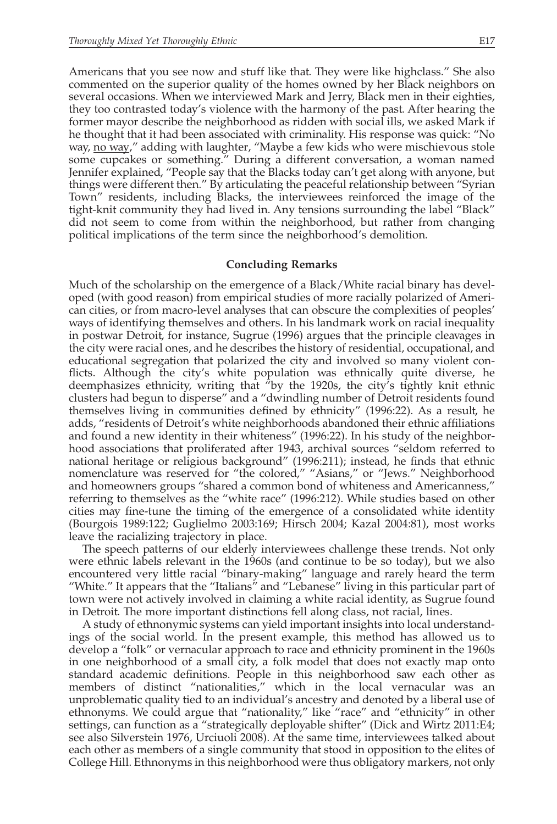Americans that you see now and stuff like that. They were like highclass." She also commented on the superior quality of the homes owned by her Black neighbors on several occasions. When we interviewed Mark and Jerry, Black men in their eighties, they too contrasted today's violence with the harmony of the past. After hearing the former mayor describe the neighborhood as ridden with social ills, we asked Mark if he thought that it had been associated with criminality. His response was quick: "No way, no way," adding with laughter, "Maybe a few kids who were mischievous stole some cupcakes or something." During a different conversation, a woman named Jennifer explained, "People say that the Blacks today can't get along with anyone, but things were different then." By articulating the peaceful relationship between "Syrian Town" residents, including Blacks, the interviewees reinforced the image of the tight-knit community they had lived in. Any tensions surrounding the label "Black" did not seem to come from within the neighborhood, but rather from changing political implications of the term since the neighborhood's demolition.

# **Concluding Remarks**

Much of the scholarship on the emergence of a Black/White racial binary has developed (with good reason) from empirical studies of more racially polarized of American cities, or from macro-level analyses that can obscure the complexities of peoples' ways of identifying themselves and others. In his landmark work on racial inequality in postwar Detroit, for instance, Sugrue (1996) argues that the principle cleavages in the city were racial ones, and he describes the history of residential, occupational, and educational segregation that polarized the city and involved so many violent conflicts. Although the city's white population was ethnically quite diverse, he deemphasizes ethnicity, writing that "by the 1920s, the city's tightly knit ethnic clusters had begun to disperse" and a "dwindling number of Detroit residents found themselves living in communities defined by ethnicity" (1996:22). As a result, he adds, "residents of Detroit's white neighborhoods abandoned their ethnic affiliations and found a new identity in their whiteness" (1996:22). In his study of the neighborhood associations that proliferated after 1943, archival sources "seldom referred to national heritage or religious background" (1996:211); instead, he finds that ethnic nomenclature was reserved for "the colored," "Asians," or "Jews." Neighborhood and homeowners groups "shared a common bond of whiteness and Americanness," referring to themselves as the "white race" (1996:212). While studies based on other cities may fine-tune the timing of the emergence of a consolidated white identity (Bourgois 1989:122; Guglielmo 2003:169; Hirsch 2004; Kazal 2004:81), most works leave the racializing trajectory in place.

The speech patterns of our elderly interviewees challenge these trends. Not only were ethnic labels relevant in the 1960s (and continue to be so today), but we also encountered very little racial "binary-making" language and rarely heard the term "White." It appears that the "Italians" and "Lebanese" living in this particular part of town were not actively involved in claiming a white racial identity, as Sugrue found in Detroit. The more important distinctions fell along class, not racial, lines.

A study of ethnonymic systems can yield important insights into local understandings of the social world. In the present example, this method has allowed us to develop a "folk" or vernacular approach to race and ethnicity prominent in the 1960s in one neighborhood of a small city, a folk model that does not exactly map onto standard academic definitions. People in this neighborhood saw each other as members of distinct "nationalities," which in the local vernacular was an unproblematic quality tied to an individual's ancestry and denoted by a liberal use of ethnonyms. We could argue that "nationality," like "race" and "ethnicity" in other settings, can function as a "strategically deployable shifter" (Dick and Wirtz 2011:E4; see also Silverstein 1976, Urciuoli 2008). At the same time, interviewees talked about each other as members of a single community that stood in opposition to the elites of College Hill. Ethnonyms in this neighborhood were thus obligatory markers, not only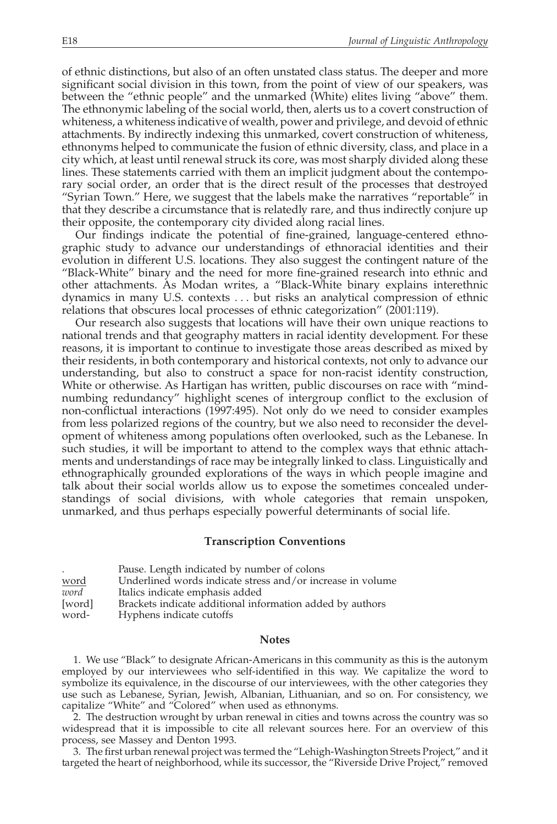of ethnic distinctions, but also of an often unstated class status. The deeper and more significant social division in this town, from the point of view of our speakers, was between the "ethnic people" and the unmarked (White) elites living "above" them. The ethnonymic labeling of the social world, then, alerts us to a covert construction of whiteness, a whiteness indicative of wealth, power and privilege, and devoid of ethnic attachments. By indirectly indexing this unmarked, covert construction of whiteness, ethnonyms helped to communicate the fusion of ethnic diversity, class, and place in a city which, at least until renewal struck its core, was most sharply divided along these lines. These statements carried with them an implicit judgment about the contemporary social order, an order that is the direct result of the processes that destroyed "Syrian Town." Here, we suggest that the labels make the narratives "reportable" in that they describe a circumstance that is relatedly rare, and thus indirectly conjure up their opposite, the contemporary city divided along racial lines.

Our findings indicate the potential of fine-grained, language-centered ethnographic study to advance our understandings of ethnoracial identities and their evolution in different U.S. locations. They also suggest the contingent nature of the "Black-White" binary and the need for more fine-grained research into ethnic and other attachments. As Modan writes, a "Black-White binary explains interethnic dynamics in many U.S. contexts . . . but risks an analytical compression of ethnic relations that obscures local processes of ethnic categorization" (2001:119).

Our research also suggests that locations will have their own unique reactions to national trends and that geography matters in racial identity development. For these reasons, it is important to continue to investigate those areas described as mixed by their residents, in both contemporary and historical contexts, not only to advance our understanding, but also to construct a space for non-racist identity construction, White or otherwise. As Hartigan has written, public discourses on race with "mindnumbing redundancy" highlight scenes of intergroup conflict to the exclusion of non-conflictual interactions (1997:495). Not only do we need to consider examples from less polarized regions of the country, but we also need to reconsider the development of whiteness among populations often overlooked, such as the Lebanese. In such studies, it will be important to attend to the complex ways that ethnic attachments and understandings of race may be integrally linked to class. Linguistically and ethnographically grounded explorations of the ways in which people imagine and talk about their social worlds allow us to expose the sometimes concealed understandings of social divisions, with whole categories that remain unspoken, unmarked, and thus perhaps especially powerful determinants of social life.

# **Transcription Conventions**

| $\cdot$ | Pause. Length indicated by number of colons                |
|---------|------------------------------------------------------------|
| word    | Underlined words indicate stress and/or increase in volume |
| word    | Italics indicate emphasis added                            |
| [word]  | Brackets indicate additional information added by authors  |
| word-   | Hyphens indicate cutoffs                                   |

#### **Notes**

1. We use "Black" to designate African-Americans in this community as this is the autonym employed by our interviewees who self-identified in this way. We capitalize the word to symbolize its equivalence, in the discourse of our interviewees, with the other categories they use such as Lebanese, Syrian, Jewish, Albanian, Lithuanian, and so on. For consistency, we capitalize "White" and "Colored" when used as ethnonyms.

2. The destruction wrought by urban renewal in cities and towns across the country was so widespread that it is impossible to cite all relevant sources here. For an overview of this process, see Massey and Denton 1993.

3. The first urban renewal project was termed the "Lehigh-Washington Streets Project," and it targeted the heart of neighborhood, while its successor, the "Riverside Drive Project," removed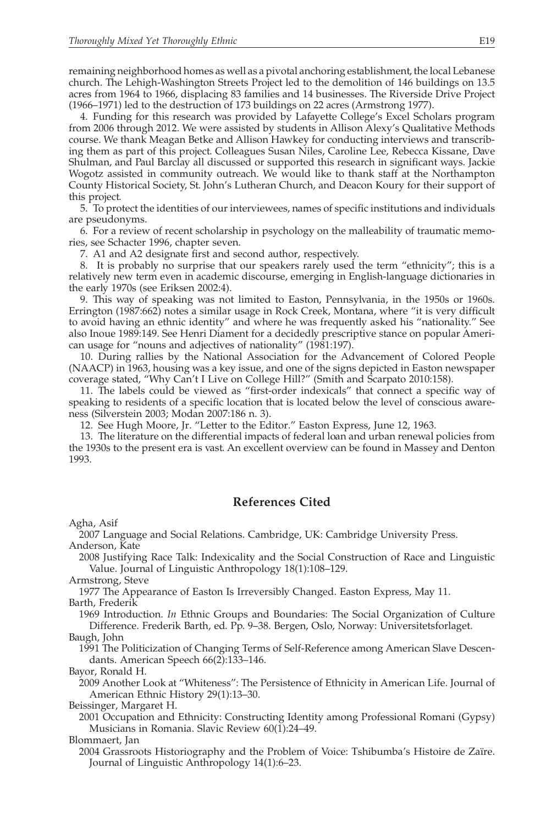remaining neighborhood homes as well as a pivotal anchoring establishment, the local Lebanese church. The Lehigh-Washington Streets Project led to the demolition of 146 buildings on 13.5 acres from 1964 to 1966, displacing 83 families and 14 businesses. The Riverside Drive Project (1966–1971) led to the destruction of 173 buildings on 22 acres (Armstrong 1977).

4. Funding for this research was provided by Lafayette College's Excel Scholars program from 2006 through 2012. We were assisted by students in Allison Alexy's Qualitative Methods course. We thank Meagan Betke and Allison Hawkey for conducting interviews and transcribing them as part of this project. Colleagues Susan Niles, Caroline Lee, Rebecca Kissane, Dave Shulman, and Paul Barclay all discussed or supported this research in significant ways. Jackie Wogotz assisted in community outreach. We would like to thank staff at the Northampton County Historical Society, St. John's Lutheran Church, and Deacon Koury for their support of this project.

5. To protect the identities of our interviewees, names of specific institutions and individuals are pseudonyms.

6. For a review of recent scholarship in psychology on the malleability of traumatic memories, see Schacter 1996, chapter seven.

7. A1 and A2 designate first and second author, respectively.

8. It is probably no surprise that our speakers rarely used the term "ethnicity"; this is a relatively new term even in academic discourse, emerging in English-language dictionaries in the early 1970s (see Eriksen 2002:4).

9. This way of speaking was not limited to Easton, Pennsylvania, in the 1950s or 1960s. Errington (1987:662) notes a similar usage in Rock Creek, Montana, where "it is very difficult to avoid having an ethnic identity" and where he was frequently asked his "nationality." See also Inoue 1989:149. See Henri Diament for a decidedly prescriptive stance on popular American usage for "nouns and adjectives of nationality" (1981:197).

10. During rallies by the National Association for the Advancement of Colored People (NAACP) in 1963, housing was a key issue, and one of the signs depicted in Easton newspaper coverage stated, "Why Can't I Live on College Hill?" (Smith and Scarpato 2010:158).

11. The labels could be viewed as "first-order indexicals" that connect a specific way of speaking to residents of a specific location that is located below the level of conscious awareness (Silverstein 2003; Modan 2007:186 n. 3).

12. See Hugh Moore, Jr. "Letter to the Editor." Easton Express, June 12, 1963.

13. The literature on the differential impacts of federal loan and urban renewal policies from the 1930s to the present era is vast. An excellent overview can be found in Massey and Denton 1993.

# **References Cited**

Agha, Asif

2007 Language and Social Relations. Cambridge, UK: Cambridge University Press. Anderson, Kate

2008 Justifying Race Talk: Indexicality and the Social Construction of Race and Linguistic Value. Journal of Linguistic Anthropology 18(1):108–129.

Armstrong, Steve

1977 The Appearance of Easton Is Irreversibly Changed. Easton Express, May 11. Barth, Frederik

1969 Introduction. *In* Ethnic Groups and Boundaries: The Social Organization of Culture Difference. Frederik Barth, ed. Pp. 9–38. Bergen, Oslo, Norway: Universitetsforlaget.

Baugh, John

1991 The Politicization of Changing Terms of Self-Reference among American Slave Descendants. American Speech 66(2):133–146.

Bayor, Ronald H.

2009 Another Look at "Whiteness": The Persistence of Ethnicity in American Life. Journal of American Ethnic History 29(1):13–30.

Beissinger, Margaret H.

2001 Occupation and Ethnicity: Constructing Identity among Professional Romani (Gypsy) Musicians in Romania. Slavic Review 60(1):24–49.

Blommaert, Jan

2004 Grassroots Historiography and the Problem of Voice: Tshibumba's Histoire de Zaïre. Journal of Linguistic Anthropology 14(1):6–23.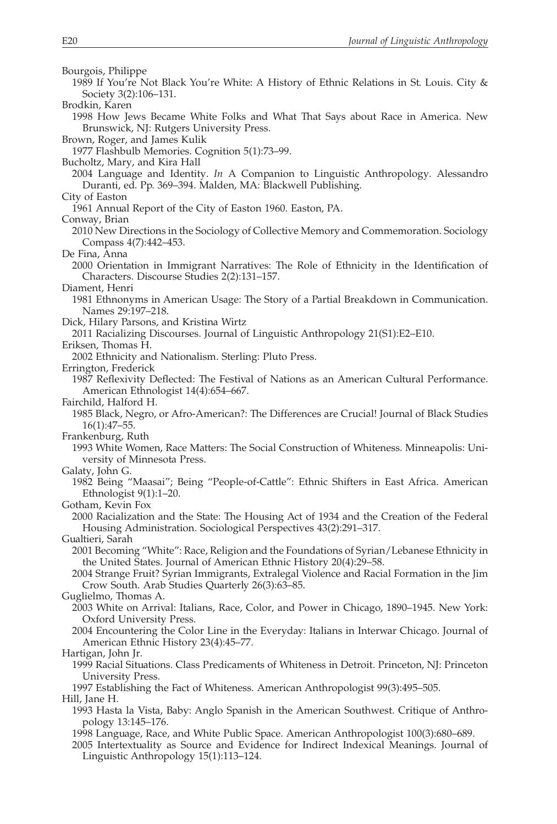Bourgois, Philippe 1989 If You're Not Black You're White: A History of Ethnic Relations in St. Louis. City & Society 3(2):106–131. Brodkin, Karen 1998 How Jews Became White Folks and What That Says about Race in America. New Brunswick, NJ: Rutgers University Press. Brown, Roger, and James Kulik 1977 Flashbulb Memories. Cognition 5(1):73–99. Bucholtz, Mary, and Kira Hall 2004 Language and Identity. *In* A Companion to Linguistic Anthropology. Alessandro Duranti, ed. Pp. 369–394. Malden, MA: Blackwell Publishing. City of Easton 1961 Annual Report of the City of Easton 1960. Easton, PA. Conway, Brian 2010 New Directions in the Sociology of Collective Memory and Commemoration. Sociology Compass 4(7):442–453. De Fina, Anna 2000 Orientation in Immigrant Narratives: The Role of Ethnicity in the Identification of Characters. Discourse Studies 2(2):131–157. Diament, Henri 1981 Ethnonyms in American Usage: The Story of a Partial Breakdown in Communication. Names 29:197–218. Dick, Hilary Parsons, and Kristina Wirtz 2011 Racializing Discourses. Journal of Linguistic Anthropology 21(S1):E2–E10. Eriksen, Thomas H. 2002 Ethnicity and Nationalism. Sterling: Pluto Press. Errington, Frederick 1987 Reflexivity Deflected: The Festival of Nations as an American Cultural Performance. American Ethnologist 14(4):654–667. Fairchild, Halford H. 1985 Black, Negro, or Afro-American?: The Differences are Crucial! Journal of Black Studies 16(1):47–55. Frankenburg, Ruth 1993 White Women, Race Matters: The Social Construction of Whiteness. Minneapolis: University of Minnesota Press. Galaty, John G. 1982 Being "Maasai"; Being "People-of-Cattle": Ethnic Shifters in East Africa. American Ethnologist 9(1):1–20. Gotham, Kevin Fox 2000 Racialization and the State: The Housing Act of 1934 and the Creation of the Federal Housing Administration. Sociological Perspectives 43(2):291–317. Gualtieri, Sarah 2001 Becoming "White": Race, Religion and the Foundations of Syrian/Lebanese Ethnicity in the United States. Journal of American Ethnic History 20(4):29–58. 2004 Strange Fruit? Syrian Immigrants, Extralegal Violence and Racial Formation in the Jim Crow South. Arab Studies Quarterly 26(3):63–85. Guglielmo, Thomas A. 2003 White on Arrival: Italians, Race, Color, and Power in Chicago, 1890–1945. New York: Oxford University Press. 2004 Encountering the Color Line in the Everyday: Italians in Interwar Chicago. Journal of American Ethnic History 23(4):45–77. Hartigan, John Jr. 1999 Racial Situations. Class Predicaments of Whiteness in Detroit. Princeton, NJ: Princeton University Press. 1997 Establishing the Fact of Whiteness. American Anthropologist 99(3):495–505. Hill, Jane H. 1993 Hasta la Vista, Baby: Anglo Spanish in the American Southwest. Critique of Anthropology 13:145–176. 1998 Language, Race, and White Public Space. American Anthropologist 100(3):680–689. 2005 Intertextuality as Source and Evidence for Indirect Indexical Meanings. Journal of Linguistic Anthropology 15(1):113–124.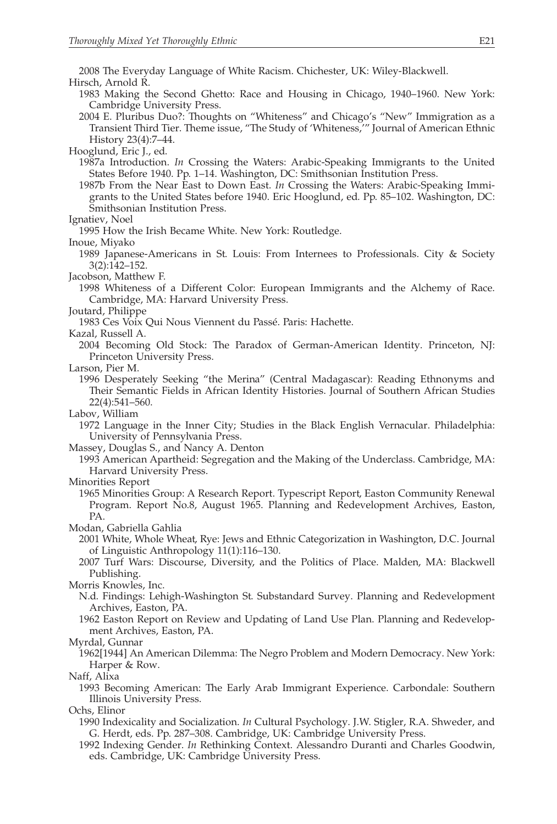2008 The Everyday Language of White Racism. Chichester, UK: Wiley-Blackwell. Hirsch, Arnold R.

- 1983 Making the Second Ghetto: Race and Housing in Chicago, 1940–1960. New York: Cambridge University Press.
- 2004 E. Pluribus Duo?: Thoughts on "Whiteness" and Chicago's "New" Immigration as a Transient Third Tier. Theme issue, "The Study of 'Whiteness,'" Journal of American Ethnic History 23(4):7–44.

Hooglund, Eric J., ed.

1987a Introduction. *In* Crossing the Waters: Arabic-Speaking Immigrants to the United States Before 1940. Pp. 1–14. Washington, DC: Smithsonian Institution Press.

1987b From the Near East to Down East. *In* Crossing the Waters: Arabic-Speaking Immigrants to the United States before 1940. Eric Hooglund, ed. Pp. 85–102. Washington, DC: Smithsonian Institution Press.

#### Ignatiev, Noel

1995 How the Irish Became White. New York: Routledge.

Inoue, Miyako

1989 Japanese-Americans in St. Louis: From Internees to Professionals. City & Society 3(2):142–152.

Jacobson, Matthew F.

1998 Whiteness of a Different Color: European Immigrants and the Alchemy of Race. Cambridge, MA: Harvard University Press.

Joutard, Philippe

1983 Ces Voix Qui Nous Viennent du Passé. Paris: Hachette.

Kazal, Russell A.

2004 Becoming Old Stock: The Paradox of German-American Identity. Princeton, NJ: Princeton University Press.

Larson, Pier M.

1996 Desperately Seeking "the Merina" (Central Madagascar): Reading Ethnonyms and Their Semantic Fields in African Identity Histories. Journal of Southern African Studies 22(4):541–560.

Labov, William

1972 Language in the Inner City; Studies in the Black English Vernacular. Philadelphia: University of Pennsylvania Press.

Massey, Douglas S., and Nancy A. Denton

1993 American Apartheid: Segregation and the Making of the Underclass. Cambridge, MA: Harvard University Press.

Minorities Report

1965 Minorities Group: A Research Report. Typescript Report, Easton Community Renewal Program. Report No.8, August 1965. Planning and Redevelopment Archives, Easton, PA.

Modan, Gabriella Gahlia

2001 White, Whole Wheat, Rye: Jews and Ethnic Categorization in Washington, D.C. Journal of Linguistic Anthropology 11(1):116–130.

2007 Turf Wars: Discourse, Diversity, and the Politics of Place. Malden, MA: Blackwell Publishing.

Morris Knowles, Inc.

N.d. Findings: Lehigh-Washington St. Substandard Survey. Planning and Redevelopment Archives, Easton, PA.

1962 Easton Report on Review and Updating of Land Use Plan. Planning and Redevelopment Archives, Easton, PA.

Myrdal, Gunnar

1962[1944] An American Dilemma: The Negro Problem and Modern Democracy. New York: Harper & Row.

Naff, Alixa

1993 Becoming American: The Early Arab Immigrant Experience. Carbondale: Southern Illinois University Press.

Ochs, Elinor

1990 Indexicality and Socialization. *In* Cultural Psychology. J.W. Stigler, R.A. Shweder, and G. Herdt, eds. Pp. 287–308. Cambridge, UK: Cambridge University Press.

1992 Indexing Gender. *In* Rethinking Context. Alessandro Duranti and Charles Goodwin, eds. Cambridge, UK: Cambridge University Press.